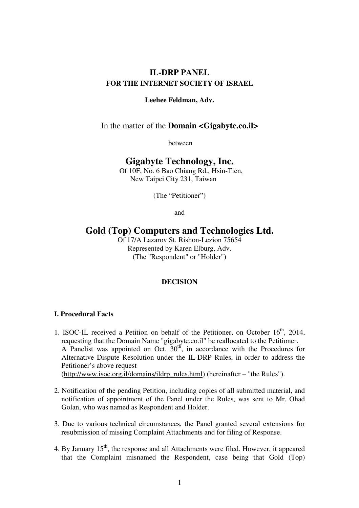# **IL-DRP PANEL FOR THE INTERNET SOCIETY OF ISRAEL**

## **Leehee Feldman, Adv.**

## In the matter of the **Domain <Gigabyte.co.il>**

between

# **Gigabyte Technology, Inc.**

Of 10F, No. 6 Bao Chiang Rd., Hsin-Tien, New Taipei City 231, Taiwan

(The "Petitioner")

and

# **Gold (Top) Computers and Technologies Ltd.**

Of 17/A Lazarov St. Rishon-Lezion 75654 Represented by Karen Elburg, Adv. (The "Respondent" or "Holder")

## **DECISION**

### **I. Procedural Facts**

- 1. ISOC-IL received a Petition on behalf of the Petitioner, on October  $16<sup>th</sup>$ , 2014, requesting that the Domain Name "gigabyte.co.il" be reallocated to the Petitioner. A Panelist was appointed on Oct.  $30<sup>th</sup>$ , in accordance with the Procedures for Alternative Dispute Resolution under the IL-DRP Rules, in order to address the Petitioner's above request (http://www.isoc.org.il/domains/ildrp\_rules.html) (hereinafter – "the Rules").
- 2. Notification of the pending Petition, including copies of all submitted material, and notification of appointment of the Panel under the Rules, was sent to Mr. Ohad Golan, who was named as Respondent and Holder.
- 3. Due to various technical circumstances, the Panel granted several extensions for resubmission of missing Complaint Attachments and for filing of Response.
- 4. By January 15<sup>th</sup>, the response and all Attachments were filed. However, it appeared that the Complaint misnamed the Respondent, case being that Gold (Top)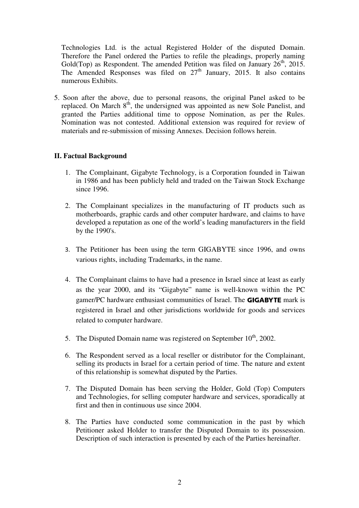Technologies Ltd. is the actual Registered Holder of the disputed Domain. Therefore the Panel ordered the Parties to refile the pleadings, properly naming Gold(Top) as Respondent. The amended Petition was filed on January  $26<sup>th</sup>$ , 2015. The Amended Responses was filed on  $27<sup>th</sup>$  January, 2015. It also contains numerous Exhibits.

5. Soon after the above, due to personal reasons, the original Panel asked to be replaced. On March 8<sup>th</sup>, the undersigned was appointed as new Sole Panelist, and granted the Parties additional time to oppose Nomination, as per the Rules. Nomination was not contested. Additional extension was required for review of materials and re-submission of missing Annexes. Decision follows herein.

### **II. Factual Background**

- 1. The Complainant, Gigabyte Technology, is a Corporation founded in Taiwan in 1986 and has been publicly held and traded on the Taiwan Stock Exchange since 1996.
- 2. The Complainant specializes in the manufacturing of IT products such as motherboards, graphic cards and other computer hardware, and claims to have developed a reputation as one of the world's leading manufacturers in the field by the 1990's.
- 3. The Petitioner has been using the term GIGABYTE since 1996, and owns various rights, including Trademarks, in the name.
- 4. The Complainant claims to have had a presence in Israel since at least as early as the year 2000, and its "Gigabyte" name is well-known within the PC gamer/PC hardware enthusiast communities of Israel. The **GIGABYTE** mark is registered in Israel and other jurisdictions worldwide for goods and services related to computer hardware.
- 5. The Disputed Domain name was registered on September  $10^{th}$ , 2002.
- 6. The Respondent served as a local reseller or distributor for the Complainant, selling its products in Israel for a certain period of time. The nature and extent of this relationship is somewhat disputed by the Parties.
- 7. The Disputed Domain has been serving the Holder, Gold (Top) Computers and Technologies, for selling computer hardware and services, sporadically at first and then in continuous use since 2004.
- 8. The Parties have conducted some communication in the past by which Petitioner asked Holder to transfer the Disputed Domain to its possession. Description of such interaction is presented by each of the Parties hereinafter.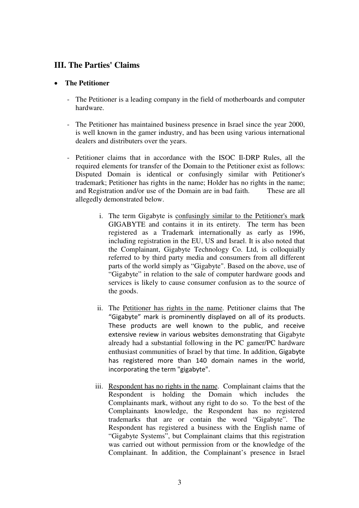# **III. The Parties' Claims**

# • **The Petitioner**

- The Petitioner is a leading company in the field of motherboards and computer hardware.
- The Petitioner has maintained business presence in Israel since the year 2000, is well known in the gamer industry, and has been using various international dealers and distributers over the years.
- Petitioner claims that in accordance with the ISOC Il-DRP Rules, all the required elements for transfer of the Domain to the Petitioner exist as follows: Disputed Domain is identical or confusingly similar with Petitioner's trademark; Petitioner has rights in the name; Holder has no rights in the name; and Registration and/or use of the Domain are in bad faith. These are all allegedly demonstrated below.
	- i. The term Gigabyte is confusingly similar to the Petitioner's mark GIGABYTE and contains it in its entirety. The term has been registered as a Trademark internationally as early as 1996, including registration in the EU, US and Israel. It is also noted that the Complainant, Gigabyte Technology Co. Ltd, is colloquially referred to by third party media and consumers from all different parts of the world simply as "Gigabyte". Based on the above, use of "Gigabyte" in relation to the sale of computer hardware goods and services is likely to cause consumer confusion as to the source of the goods.
	- ii. The Petitioner has rights in the name. Petitioner claims that The "Gigabyte" mark is prominently displayed on all of its products. These products are well known to the public, and receive extensive review in various websites demonstrating that Gigabyte already had a substantial following in the PC gamer/PC hardware enthusiast communities of Israel by that time. In addition, Gigabyte has registered more than 140 domain names in the world, incorporating the term "gigabyte".
	- iii. Respondent has no rights in the name. Complainant claims that the Respondent is holding the Domain which includes the Complainants mark, without any right to do so. To the best of the Complainants knowledge, the Respondent has no registered trademarks that are or contain the word "Gigabyte". The Respondent has registered a business with the English name of "Gigabyte Systems", but Complainant claims that this registration was carried out without permission from or the knowledge of the Complainant. In addition, the Complainant's presence in Israel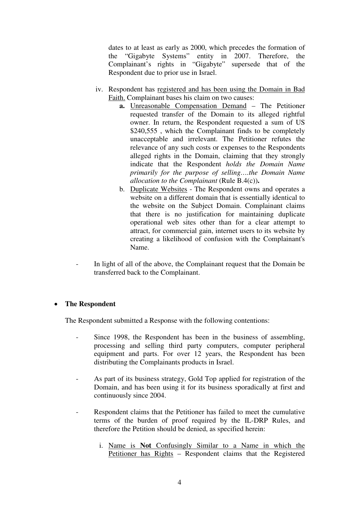dates to at least as early as 2000, which precedes the formation of the "Gigabyte Systems" entity in 2007. Therefore, the Complainant's rights in "Gigabyte" supersede that of the Respondent due to prior use in Israel.

- iv. Respondent has registered and has been using the Domain in Bad Faith. Complainant bases his claim on two causes:
	- **a.** Unreasonable Compensation Demand The Petitioner requested transfer of the Domain to its alleged rightful owner. In return, the Respondent requested a sum of US \$240,555, which the Complainant finds to be completely unacceptable and irrelevant. The Petitioner refutes the relevance of any such costs or expenses to the Respondents alleged rights in the Domain, claiming that they strongly indicate that the Respondent *holds the Domain Name primarily for the purpose of selling….the Domain Name allocation to the Complainant* (Rule B.4(c))**.**
	- b. Duplicate Websites The Respondent owns and operates a website on a different domain that is essentially identical to the website on the Subject Domain. Complainant claims that there is no justification for maintaining duplicate operational web sites other than for a clear attempt to attract, for commercial gain, internet users to its website by creating a likelihood of confusion with the Complainant's Name.
- In light of all of the above, the Complainant request that the Domain be transferred back to the Complainant.

# • **The Respondent**

The Respondent submitted a Response with the following contentions:

- Since 1998, the Respondent has been in the business of assembling, processing and selling third party computers, computer peripheral equipment and parts. For over 12 years, the Respondent has been distributing the Complainants products in Israel.
- As part of its business strategy, Gold Top applied for registration of the Domain, and has been using it for its business sporadically at first and continuously since 2004.
- Respondent claims that the Petitioner has failed to meet the cumulative terms of the burden of proof required by the IL-DRP Rules, and therefore the Petition should be denied, as specified herein:
	- i. Name is **Not** Confusingly Similar to a Name in which the Petitioner has Rights – Respondent claims that the Registered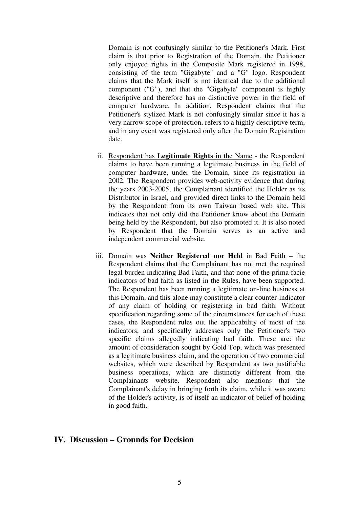Domain is not confusingly similar to the Petitioner's Mark. First claim is that prior to Registration of the Domain, the Petitioner only enjoyed rights in the Composite Mark registered in 1998, consisting of the term "Gigabyte" and a "G" logo. Respondent claims that the Mark itself is not identical due to the additional component ("G"), and that the "Gigabyte" component is highly descriptive and therefore has no distinctive power in the field of computer hardware. In addition, Respondent claims that the Petitioner's stylized Mark is not confusingly similar since it has a very narrow scope of protection, refers to a highly descriptive term, and in any event was registered only after the Domain Registration date.

- ii. Respondent has **Legitimate Rights** in the Name the Respondent claims to have been running a legitimate business in the field of computer hardware, under the Domain, since its registration in 2002. The Respondent provides web-activity evidence that during the years 2003-2005, the Complainant identified the Holder as its Distributor in Israel, and provided direct links to the Domain held by the Respondent from its own Taiwan based web site. This indicates that not only did the Petitioner know about the Domain being held by the Respondent, but also promoted it. It is also noted by Respondent that the Domain serves as an active and independent commercial website.
- iii. Domain was **Neither Registered nor Held** in Bad Faith the Respondent claims that the Complainant has not met the required legal burden indicating Bad Faith, and that none of the prima facie indicators of bad faith as listed in the Rules, have been supported. The Respondent has been running a legitimate on-line business at this Domain, and this alone may constitute a clear counter-indicator of any claim of holding or registering in bad faith. Without specification regarding some of the circumstances for each of these cases, the Respondent rules out the applicability of most of the indicators, and specifically addresses only the Petitioner's two specific claims allegedly indicating bad faith. These are: the amount of consideration sought by Gold Top, which was presented as a legitimate business claim, and the operation of two commercial websites, which were described by Respondent as two justifiable business operations, which are distinctly different from the Complainants website. Respondent also mentions that the Complainant's delay in bringing forth its claim, while it was aware of the Holder's activity, is of itself an indicator of belief of holding in good faith.

# **IV. Discussion – Grounds for Decision**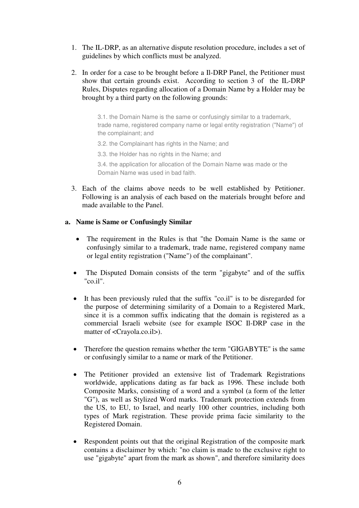- 1. The IL-DRP, as an alternative dispute resolution procedure, includes a set of guidelines by which conflicts must be analyzed.
- 2. In order for a case to be brought before a Il-DRP Panel, the Petitioner must show that certain grounds exist. According to section 3 of the IL-DRP Rules, Disputes regarding allocation of a Domain Name by a Holder may be brought by a third party on the following grounds:

3.1. the Domain Name is the same or confusingly similar to a trademark, trade name, registered company name or legal entity registration ("Name") of the complainant; and

- 3.2. the Complainant has rights in the Name; and
- 3.3. the Holder has no rights in the Name; and

3.4. the application for allocation of the Domain Name was made or the Domain Name was used in bad faith.

3. Each of the claims above needs to be well established by Petitioner. Following is an analysis of each based on the materials brought before and made available to the Panel.

# **a. Name is Same or Confusingly Similar**

- The requirement in the Rules is that "the Domain Name is the same or confusingly similar to a trademark, trade name, registered company name or legal entity registration ("Name") of the complainant".
- The Disputed Domain consists of the term "gigabyte" and of the suffix "co.il".
- It has been previously ruled that the suffix "co.il" is to be disregarded for the purpose of determining similarity of a Domain to a Registered Mark, since it is a common suffix indicating that the domain is registered as a commercial Israeli website (see for example ISOC Il-DRP case in the matter of <Crayola.co.il>).
- Therefore the question remains whether the term "GIGABYTE" is the same or confusingly similar to a name or mark of the Petitioner.
- The Petitioner provided an extensive list of Trademark Registrations worldwide, applications dating as far back as 1996. These include both Composite Marks, consisting of a word and a symbol (a form of the letter "G"), as well as Stylized Word marks. Trademark protection extends from the US, to EU, to Israel, and nearly 100 other countries, including both types of Mark registration. These provide prima facie similarity to the Registered Domain.
- Respondent points out that the original Registration of the composite mark contains a disclaimer by which: "no claim is made to the exclusive right to use "gigabyte" apart from the mark as shown", and therefore similarity does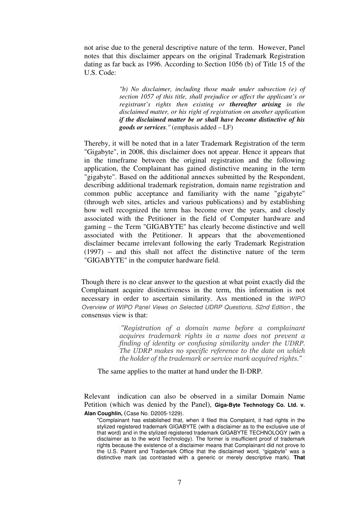not arise due to the general descriptive nature of the term. However, Panel notes that this disclaimer appears on the original Trademark Registration dating as far back as 1996. According to Section 1056 (b) of Title 15 of the U.S. Code:

> *"b) No disclaimer, including those made under subsection (e) of section 1057 of this title, shall prejudice or affect the applicant's or registrant's rights then existing or thereafter arising in the disclaimed matter, or his right of registration on another application if the disclaimed matter be or shall have become distinctive of his goods or services."* (emphasis added – LF)

Thereby, it will be noted that in a later Trademark Registration of the term "Gigabyte", in 2008, this disclaimer does not appear. Hence it appears that in the timeframe between the original registration and the following application, the Complainant has gained distinctive meaning in the term "gigabyte". Based on the additional annexes submitted by the Respondent, describing additional trademark registration, domain name registration and common public acceptance and familiarity with the name "gigabyte" (through web sites, articles and various publications) and by establishing how well recognized the term has become over the years, and closely associated with the Petitioner in the field of Computer hardware and gaming – the Term "GIGABYTE" has clearly become distinctive and well associated with the Petitioner. It appears that the abovementioned disclaimer became irrelevant following the early Trademark Registration (1997) – and this shall not affect the distinctive nature of the term "GIGABYTE" in the computer hardware field.

Though there is no clear answer to the question at what point exactly did the Complainant acquire distinctiveness in the term, this information is not necessary in order to ascertain similarity. Ass mentioned in the WIPO Overview of WIPO Panel Views on Selected UDRP Questions, S2nd Edition , the consensus view is that:

> "Registration of a domain name before a complainant acquires trademark rights in a name does not prevent a finding of identity or confusing similarity under the UDRP. The UDRP makes no specific reference to the date on which the holder of the trademark or service mark acquired rights."

The same applies to the matter at hand under the Il-DRP.

Relevant indication can also be observed in a similar Domain Name Petition (which was denied by the Panel), **Giga-Byte Technology Co. Ltd. v. Alan Coughlin,** (Case No. D2005-1229).

<sup>&</sup>quot;Complainant has established that, when it filed this Complaint, it had rights in the stylized registered trademark GIGABYTE (with a disclaimer as to the exclusive use of that word) and in the stylized registered trademark GIGABYTE TECHNOLOGY (with a disclaimer as to the word Technology). The former is insufficient proof of trademark rights because the existence of a disclaimer means that Complainant did not prove to the U.S. Patent and Trademark Office that the disclaimed word, "gigabyte" was a distinctive mark (as contrasted with a generic or merely descriptive mark). **That**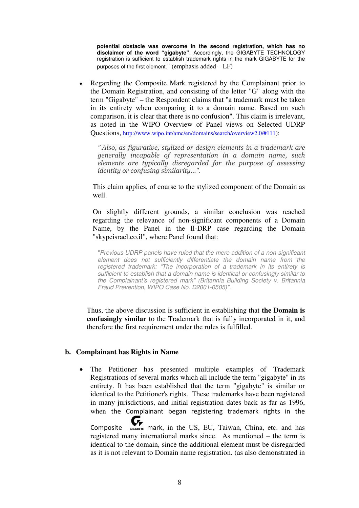**potential obstacle was overcome in the second registration, which has no disclaimer of the word "gigabyte"**. Accordingly, the GIGABYTE TECHNOLOGY registration is sufficient to establish trademark rights in the mark GIGABYTE for the purposes of the first element." (emphasis added – LF)

• Regarding the Composite Mark registered by the Complainant prior to the Domain Registration, and consisting of the letter "G" along with the term "Gigabyte" – the Respondent claims that "a trademark must be taken in its entirety when comparing it to a domain name. Based on such comparison, it is clear that there is no confusion". This claim is irrelevant, as noted in the WIPO Overview of Panel views on Selected UDRP Questions, http://www.wipo.int/amc/en/domains/search/overview2.0/#111):

*"* Also, as figurative, stylized or design elements in a trademark are generally incapable of representation in a domain name, such elements are typically disregarded for the purpose of assessing identity or confusing similarity…"*.* 

This claim applies, of course to the stylized component of the Domain as well.

On slightly different grounds, a similar conclusion was reached regarding the relevance of non-significant components of a Domain Name, by the Panel in the Il-DRP case regarding the Domain "skypeisrael.co.il", where Panel found that:

"Previous UDRP panels have ruled that the mere addition of a non-significant element does not sufficiently differentiate the domain name from the registered trademark: "The incorporation of a trademark in its entirety is sufficient to establish that a domain name is identical or confusingly similar to the Complainant's registered mark" (Britannia Building Society v. Britannia Fraud Prevention, WIPO Case No. D2001-0505)".

Thus, the above discussion is sufficient in establishing that **the Domain is confusingly similar** to the Trademark that is fully incorporated in it, and therefore the first requirement under the rules is fulfilled.

#### **b. Complainant has Rights in Name**

The Petitioner has presented multiple examples of Trademark Registrations of several marks which all include the term "gigabyte" in its entirety. It has been established that the term "gigabyte" is similar or identical to the Petitioner's rights. These trademarks have been registered in many jurisdictions, and initial registration dates back as far as 1996, when the Complainant began registering trademark rights in the

Composite  $\sigma_{\text{geometric}}$  mark, in the US, EU, Taiwan, China, etc. and has registered many international marks since. As mentioned – the term is identical to the domain, since the additional element must be disregarded as it is not relevant to Domain name registration. (as also demonstrated in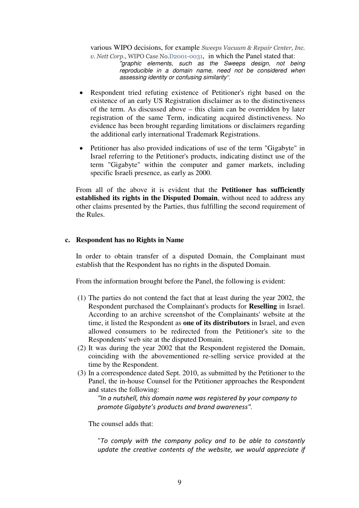various WIPO decisions, for example Sweeps Vacuum & Repair Center, Inc.

v. Nett Corp., WIPO Case No.D2001-0031, in which the Panel stated that: "graphic elements, such as the Sweeps design, not being reproducible in a domain name, need not be considered when assessing identity or confusing similarity*".* 

- Respondent tried refuting existence of Petitioner's right based on the existence of an early US Registration disclaimer as to the distinctiveness of the term. As discussed above – this claim can be overridden by later registration of the same Term, indicating acquired distinctiveness. No evidence has been brought regarding limitations or disclaimers regarding the additional early international Trademark Registrations.
- Petitioner has also provided indications of use of the term "Gigabyte" in Israel referring to the Petitioner's products, indicating distinct use of the term "Gigabyte" within the computer and gamer markets, including specific Israeli presence, as early as 2000.

From all of the above it is evident that the **Petitioner has sufficiently established its rights in the Disputed Domain**, without need to address any other claims presented by the Parties, thus fulfilling the second requirement of the Rules.

### **c. Respondent has no Rights in Name**

In order to obtain transfer of a disputed Domain, the Complainant must establish that the Respondent has no rights in the disputed Domain.

From the information brought before the Panel, the following is evident:

- (1) The parties do not contend the fact that at least during the year 2002, the Respondent purchased the Complainant's products for **Reselling** in Israel. According to an archive screenshot of the Complainants' website at the time, it listed the Respondent as **one of its distributors** in Israel, and even allowed consumers to be redirected from the Petitioner's site to the Respondents' web site at the disputed Domain.
- (2) It was during the year 2002 that the Respondent registered the Domain, coinciding with the abovementioned re-selling service provided at the time by the Respondent.
- (3) In a correspondence dated Sept. 2010, as submitted by the Petitioner to the Panel, the in-house Counsel for the Petitioner approaches the Respondent and states the following:

"In a nutshell, this domain name was registered by your company to promote Gigabyte's products and brand awareness"*.* 

The counsel adds that:

"To comply with the company policy and to be able to constantly update the creative contents of the website, we would appreciate if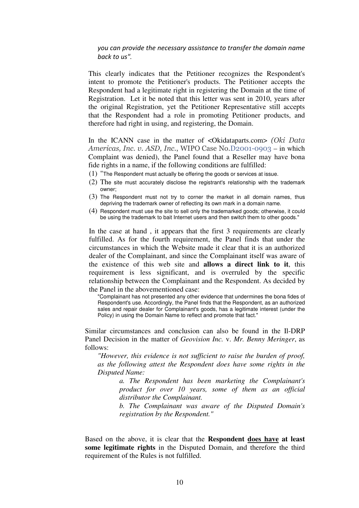#### you can provide the necessary assistance to transfer the domain name back to us"*.*

This clearly indicates that the Petitioner recognizes the Respondent's intent to promote the Petitioner's products. The Petitioner accepts the Respondent had a legitimate right in registering the Domain at the time of Registration. Let it be noted that this letter was sent in 2010, years after the original Registration, yet the Petitioner Representative still accepts that the Respondent had a role in promoting Petitioner products, and therefore had right in using, and registering, the Domain.

In the ICANN case in the matter of <Okidataparts.com> (Oki Data Americas, Inc. v. ASD, Inc., WIPO Case No.D2001-0903 – in which Complaint was denied), the Panel found that a Reseller may have bona fide rights in a name, if the following conditions are fulfilled:

- (1) "The Respondent must actually be offering the goods or services at issue.
- (2) The site must accurately disclose the registrant's relationship with the trademark owner;
- (3) The Respondent must not try to corner the market in all domain names, thus depriving the trademark owner of reflecting its own mark in a domain name.
- (4) Respondent must use the site to sell only the trademarked goods; otherwise, it could be using the trademark to bait Internet users and then switch them to other goods."

In the case at hand , it appears that the first 3 requirements are clearly fulfilled. As for the fourth requirement, the Panel finds that under the circumstances in which the Website made it clear that it is an authorized dealer of the Complainant, and since the Complainant itself was aware of the existence of this web site and **allows a direct link to it**, this requirement is less significant, and is overruled by the specific relationship between the Complainant and the Respondent. As decided by the Panel in the abovementioned case:

"Complainant has not presented any other evidence that undermines the bona fides of Respondent's use. Accordingly, the Panel finds that the Respondent, as an authorized sales and repair dealer for Complainant's goods, has a legitimate interest (under the Policy) in using the Domain Name to reflect and promote that fact."

Similar circumstances and conclusion can also be found in the Il-DRP Panel Decision in the matter of *Geovision Inc.* v. *Mr. Benny Meringer*, as follows:

*"However, this evidence is not sufficient to raise the burden of proof, as the following attest the Respondent does have some rights in the Disputed Name:* 

> *a. The Respondent has been marketing the Complainant's product for over 10 years, some of them as an official distributor the Complainant.*

> *b. The Complainant was aware of the Disputed Domain's registration by the Respondent."*

Based on the above, it is clear that the **Respondent does have at least some legitimate rights** in the Disputed Domain, and therefore the third requirement of the Rules is not fulfilled.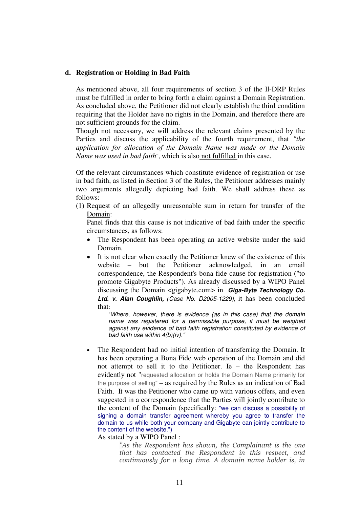#### **d. Registration or Holding in Bad Faith**

As mentioned above, all four requirements of section 3 of the Il-DRP Rules must be fulfilled in order to bring forth a claim against a Domain Registration. As concluded above, the Petitioner did not clearly establish the third condition requiring that the Holder have no rights in the Domain, and therefore there are not sufficient grounds for the claim.

Though not necessary, we will address the relevant claims presented by the Parties and discuss the applicability of the fourth requirement, that *"the application for allocation of the Domain Name was made or the Domain Name was used in bad faith*", which is also not fulfilled in this case.

Of the relevant circumstances which constitute evidence of registration or use in bad faith, as listed in Section 3 of the Rules, the Petitioner addresses mainly two arguments allegedly depicting bad faith. We shall address these as follows:

(1) Request of an allegedly unreasonable sum in return for transfer of the Domain:

Panel finds that this cause is not indicative of bad faith under the specific circumstances, as follows:

- The Respondent has been operating an active website under the said Domain.
- It is not clear when exactly the Petitioner knew of the existence of this website – but the Petitioner acknowledged, in an email correspondence, the Respondent's bona fide cause for registration ("to promote Gigabyte Products"). As already discussed by a WIPO Panel discussing the Domain <gigabyte.com> in **Giga-Byte Technology Co. Ltd. v. Alan Coughlin,** *(*Case No. D2005-1229), it has been concluded that:

"Where, however, there is evidence (as in this case) that the domain name was registered for a permissible purpose, it must be weighed against any evidence of bad faith registration constituted by evidence of bad faith use within 4(b)(iv)."

• The Respondent had no initial intention of transferring the Domain. It has been operating a Bona Fide web operation of the Domain and did not attempt to sell it to the Petitioner. Ie – the Respondent has evidently not "requested allocation or holds the Domain Name primarily for the purpose of selling" – as required by the Rules as an indication of Bad Faith. It was the Petitioner who came up with various offers, and even suggested in a correspondence that the Parties will jointly contribute to the content of the Domain (specifically: "we can discuss a possibility of signing a domain transfer agreement whereby you agree to transfer the domain to us while both your company and Gigabyte can jointly contribute to the content of the website.")

As stated by a WIPO Panel :

"As the Respondent has shown, the Complainant is the one that has contacted the Respondent in this respect, and continuously for a long time. A domain name holder is, in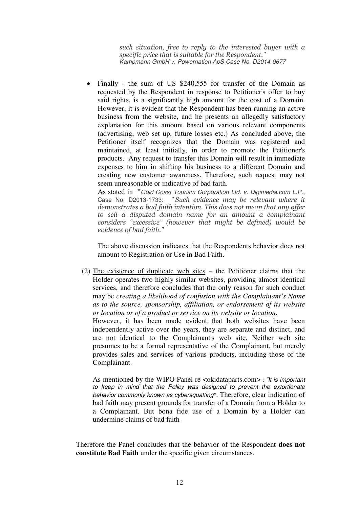such situation, free to reply to the interested buyer with a specific price that is suitable for the Respondent." Kampmann GmbH v. Powernation ApS Case No. D2014-0677

Finally - the sum of US \$240,555 for transfer of the Domain as requested by the Respondent in response to Petitioner's offer to buy said rights, is a significantly high amount for the cost of a Domain. However, it is evident that the Respondent has been running an active business from the website, and he presents an allegedly satisfactory explanation for this amount based on various relevant components (advertising, web set up, future losses etc.) As concluded above, the Petitioner itself recognizes that the Domain was registered and maintained, at least initially, in order to promote the Petitioner's products. Any request to transfer this Domain will result in immediate expenses to him in shifting his business to a different Domain and creating new customer awareness. Therefore, such request may not seem unreasonable or indicative of bad faith.

As stated in **"**Gold Coast Tourism Corporation Ltd. v. Digimedia.com L.P., Case No. D2013-1733: " Such evidence may be relevant where it demonstrates a bad faith intention. This does not mean that any offer to sell a disputed domain name for an amount a complainant considers "excessive" (however that might be defined) would be evidence of bad faith."

The above discussion indicates that the Respondents behavior does not amount to Registration or Use in Bad Faith.

(2) The existence of duplicate web sites – the Petitioner claims that the Holder operates two highly similar websites, providing almost identical services, and therefore concludes that the only reason for such conduct may be *creating a likelihood of confusion with the Complainant's Name as to the source, sponsorship, affiliation, or endorsement of its website or location or of a product or service on its website or location*.

However, it has been made evident that both websites have been independently active over the years, they are separate and distinct, and are not identical to the Complainant's web site. Neither web site presumes to be a formal representative of the Complainant, but merely provides sales and services of various products, including those of the Complainant.

As mentioned by the WIPO Panel re <okidataparts.com> : "It is important to keep in mind that the Policy was designed to prevent the extortionate behavior commonly known as cybersquatting*"*. Therefore, clear indication of bad faith may present grounds for transfer of a Domain from a Holder to a Complainant. But bona fide use of a Domain by a Holder can undermine claims of bad faith

Therefore the Panel concludes that the behavior of the Respondent **does not constitute Bad Faith** under the specific given circumstances.